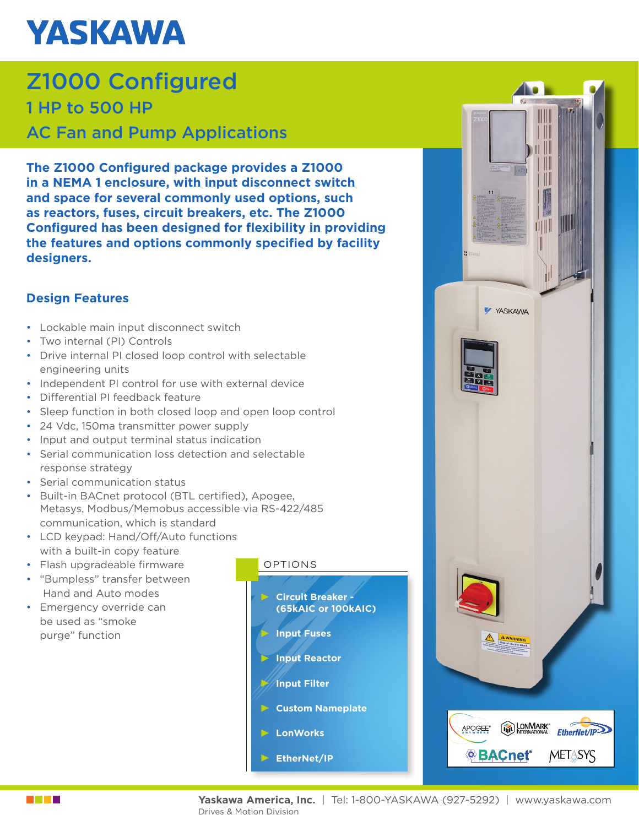## **YASKAWA**

### Z1000 Configured 1 HP to 500 HP AC Fan and Pump Applications

**The Z1000 Configured package provides a Z1000 in a NEMA 1 enclosure, with input disconnect switch and space for several commonly used options, such as reactors, fuses, circuit breakers, etc. The Z1000 Configured has been designed for flexibility in providing the features and options commonly specified by facility designers.**

### **Design Features**

- Lockable main input disconnect switch
- Two internal (PI) Controls
- Drive internal PI closed loop control with selectable engineering units
- Independent PI control for use with external device
- Differential PI feedback feature
- Sleep function in both closed loop and open loop control
- 24 Vdc, 150ma transmitter power supply
- Input and output terminal status indication
- Serial communication loss detection and selectable response strategy
- Serial communication status
- Built-in BACnet protocol (BTL certified), Apogee, Metasys, Modbus/Memobus accessible via RS-422/485 communication, which is standard
- LCD keypad: Hand/Off/Auto functions with a built-in copy feature
- Flash upgradeable firmware
- "Bumpless" transfer between Hand and Auto modes
- Emergency override can be used as "smoke purge" function

#### OPTIONS